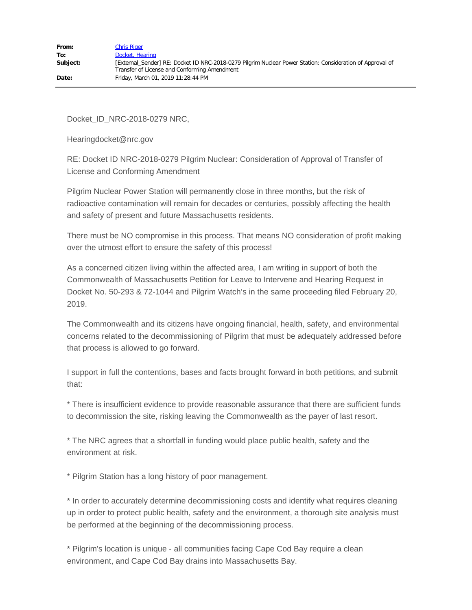Docket\_ID\_NRC-2018-0279 NRC,

Hearingdocket@nrc.gov

RE: Docket ID NRC-2018-0279 Pilgrim Nuclear: Consideration of Approval of Transfer of License and Conforming Amendment

Pilgrim Nuclear Power Station will permanently close in three months, but the risk of radioactive contamination will remain for decades or centuries, possibly affecting the health and safety of present and future Massachusetts residents.

There must be NO compromise in this process. That means NO consideration of profit making over the utmost effort to ensure the safety of this process!

As a concerned citizen living within the affected area, I am writing in support of both the Commonwealth of Massachusetts Petition for Leave to Intervene and Hearing Request in Docket No. 50-293 & 72-1044 and Pilgrim Watch's in the same proceeding filed February 20, 2019.

The Commonwealth and its citizens have ongoing financial, health, safety, and environmental concerns related to the decommissioning of Pilgrim that must be adequately addressed before that process is allowed to go forward.

I support in full the contentions, bases and facts brought forward in both petitions, and submit that:

\* There is insufficient evidence to provide reasonable assurance that there are sufficient funds to decommission the site, risking leaving the Commonwealth as the payer of last resort.

\* The NRC agrees that a shortfall in funding would place public health, safety and the environment at risk.

\* Pilgrim Station has a long history of poor management.

\* In order to accurately determine decommissioning costs and identify what requires cleaning up in order to protect public health, safety and the environment, a thorough site analysis must be performed at the beginning of the decommissioning process.

\* Pilgrim's location is unique - all communities facing Cape Cod Bay require a clean environment, and Cape Cod Bay drains into Massachusetts Bay.